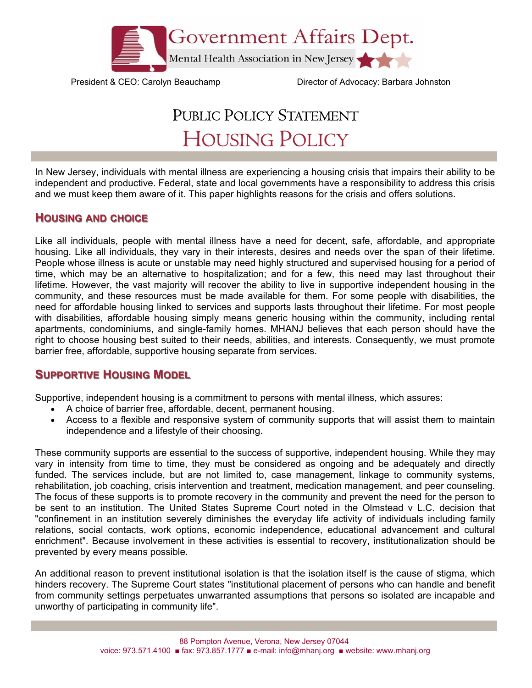

President & CEO: Carolyn Beauchamp Director of Advocacy: Barbara Johnston

# PUBLIC POLICY STATEMENT HOUSING POLICY

In New Jersey, individuals with mental illness are experiencing a housing crisis that impairs their ability to be independent and productive. Federal, state and local governments have a responsibility to address this crisis and we must keep them aware of it. This paper highlights reasons for the crisis and offers solutions.

# **HOUSING AND CHOICE**

Like all individuals, people with mental illness have a need for decent, safe, affordable, and appropriate housing. Like all individuals, they vary in their interests, desires and needs over the span of their lifetime. People whose illness is acute or unstable may need highly structured and supervised housing for a period of time, which may be an alternative to hospitalization; and for a few, this need may last throughout their lifetime. However, the vast majority will recover the ability to live in supportive independent housing in the community, and these resources must be made available for them. For some people with disabilities, the need for affordable housing linked to services and supports lasts throughout their lifetime. For most people with disabilities, affordable housing simply means generic housing within the community, including rental apartments, condominiums, and single-family homes. MHANJ believes that each person should have the right to choose housing best suited to their needs, abilities, and interests. Consequently, we must promote barrier free, affordable, supportive housing separate from services.

# **SUPPORTIVE HOUSING MODEL**

Supportive, independent housing is a commitment to persons with mental illness, which assures:

- A choice of barrier free, affordable, decent, permanent housing.
- Access to a flexible and responsive system of community supports that will assist them to maintain independence and a lifestyle of their choosing.

These community supports are essential to the success of supportive, independent housing. While they may vary in intensity from time to time, they must be considered as ongoing and be adequately and directly funded. The services include, but are not limited to, case management, linkage to community systems, rehabilitation, job coaching, crisis intervention and treatment, medication management, and peer counseling. The focus of these supports is to promote recovery in the community and prevent the need for the person to be sent to an institution. The United States Supreme Court noted in the Olmstead v L.C. decision that "confinement in an institution severely diminishes the everyday life activity of individuals including family relations, social contacts, work options, economic independence, educational advancement and cultural enrichment". Because involvement in these activities is essential to recovery, institutionalization should be prevented by every means possible.

An additional reason to prevent institutional isolation is that the isolation itself is the cause of stigma, which hinders recovery. The Supreme Court states "institutional placement of persons who can handle and benefit from community settings perpetuates unwarranted assumptions that persons so isolated are incapable and unworthy of participating in community life".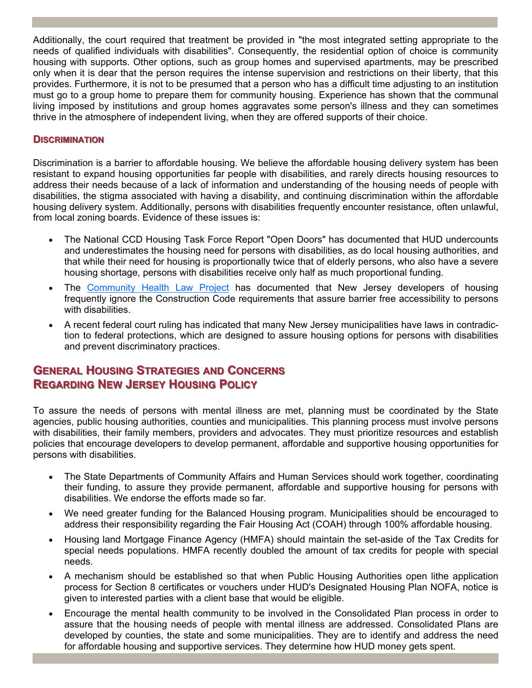Additionally, the court required that treatment be provided in "the most integrated setting appropriate to the needs of qualified individuals with disabilities". Consequently, the residential option of choice is community housing with supports. Other options, such as group homes and supervised apartments, may be prescribed only when it is dear that the person requires the intense supervision and restrictions on their liberty, that this provides. Furthermore, it is not to be presumed that a person who has a difficult time adjusting to an institution must go to a group home to prepare them for community housing. Experience has shown that the communal living imposed by institutions and group homes aggravates some person's illness and they can sometimes thrive in the atmosphere of independent living, when they are offered supports of their choice.

#### **DISCRIMINATION**

Discrimination is a barrier to affordable housing. We believe the affordable housing delivery system has been resistant to expand housing opportunities far people with disabilities, and rarely directs housing resources to address their needs because of a lack of information and understanding of the housing needs of people with disabilities, the stigma associated with having a disability, and continuing discrimination within the affordable housing delivery system. Additionally, persons with disabilities frequently encounter resistance, often unlawful, from local zoning boards. Evidence of these issues is:

- The National CCD Housing Task Force Report "Open Doors" has documented that HUD undercounts and underestimates the housing need for persons with disabilities, as do local housing authorities, and that while their need for housing is proportionally twice that of elderly persons, who also have a severe housing shortage, persons with disabilities receive only half as much proportional funding.
- The Community Health Law Project has documented that New Jersey developers of housing frequently ignore the Construction Code requirements that assure barrier free accessibility to persons with disabilities.
- A recent federal court ruling has indicated that many New Jersey municipalities have laws in contradiction to federal protections, which are designed to assure housing options for persons with disabilities and prevent discriminatory practices.

# **GENERAL HOUSING STRATEGIES TRATEGIES AND CONCERNS ONCERNS REGARDING NEW JERSEY HOUSING POLICY**

To assure the needs of persons with mental illness are met, planning must be coordinated by the State agencies, public housing authorities, counties and municipalities. This planning process must involve persons with disabilities, their family members, providers and advocates. They must prioritize resources and establish policies that encourage developers to develop permanent, affordable and supportive housing opportunities for persons with disabilities.

- The State Departments of Community Affairs and Human Services should work together, coordinating their funding, to assure they provide permanent, affordable and supportive housing for persons with disabilities. We endorse the efforts made so far.
- We need greater funding for the Balanced Housing program. Municipalities should be encouraged to address their responsibility regarding the Fair Housing Act (COAH) through 100% affordable housing.
- Housing land Mortgage Finance Agency (HMFA) should maintain the set-aside of the Tax Credits for special needs populations. HMFA recently doubled the amount of tax credits for people with special needs.
- A mechanism should be established so that when Public Housing Authorities open lithe application process for Section 8 certificates or vouchers under HUD's Designated Housing Plan NOFA, notice is given to interested parties with a client base that would be eligible.
- Encourage the mental health community to be involved in the Consolidated Plan process in order to assure that the housing needs of people with mental illness are addressed. Consolidated Plans are developed by counties, the state and some municipalities. They are to identify and address the need for affordable housing and supportive services. They determine how HUD money gets spent.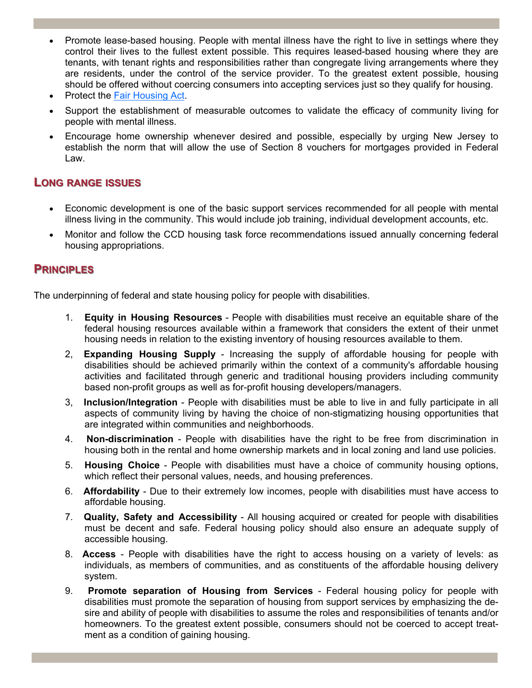- Promote lease-based housing. People with mental illness have the right to live in settings where they control their lives to the fullest extent possible. This requires leased-based housing where they are tenants, with tenant rights and responsibilities rather than congregate living arrangements where they are residents, under the control of the service provider. To the greatest extent possible, housing should be offered without coercing consumers into accepting services just so they qualify for housing.
- **Protect the Fair Housing Act.**
- Support the establishment of measurable outcomes to validate the efficacy of community living for people with mental illness.
- Encourage home ownership whenever desired and possible, especially by urging New Jersey to establish the norm that will allow the use of Section 8 vouchers for mortgages provided in Federal Law.

### **LONG RANGE ISSUES**

- Economic development is one of the basic support services recommended for all people with mental illness living in the community. This would include job training, individual development accounts, etc.
- Monitor and follow the CCD housing task force recommendations issued annually concerning federal housing appropriations.

### **PRINCIPLES RINCIPLES**

The underpinning of federal and state housing policy for people with disabilities.

- 1. **Equity in Housing Resources** People with disabilities must receive an equitable share of the federal housing resources available within a framework that considers the extent of their unmet housing needs in relation to the existing inventory of housing resources available to them.
- 2, **Expanding Housing Supply** Increasing the supply of affordable housing for people with disabilities should be achieved primarily within the context of a community's affordable housing activities and facilitated through generic and traditional housing providers including community based non-profit groups as well as for-profit housing developers/managers.
- 3, **Inclusion/Integration** People with disabilities must be able to live in and fully participate in all aspects of community living by having the choice of non-stigmatizing housing opportunities that are integrated within communities and neighborhoods.
- 4. **Non-discrimination** People with disabilities have the right to be free from discrimination in housing both in the rental and home ownership markets and in local zoning and land use policies.
- 5. **Housing Choice** People with disabilities must have a choice of community housing options, which reflect their personal values, needs, and housing preferences.
- 6. **Affordability** Due to their extremely low incomes, people with disabilities must have access to affordable housing.
- 7. **Quality, Safety and Accessibility** All housing acquired or created for people with disabilities must be decent and safe. Federal housing policy should also ensure an adequate supply of accessible housing.
- 8. **Access** People with disabilities have the right to access housing on a variety of levels: as individuals, as members of communities, and as constituents of the affordable housing delivery system.
- 9. **Promote separation of Housing from Services** Federal housing policy for people with disabilities must promote the separation of housing from support services by emphasizing the desire and ability of people with disabilities to assume the roles and responsibilities of tenants and/or homeowners. To the greatest extent possible, consumers should not be coerced to accept treatment as a condition of gaining housing.